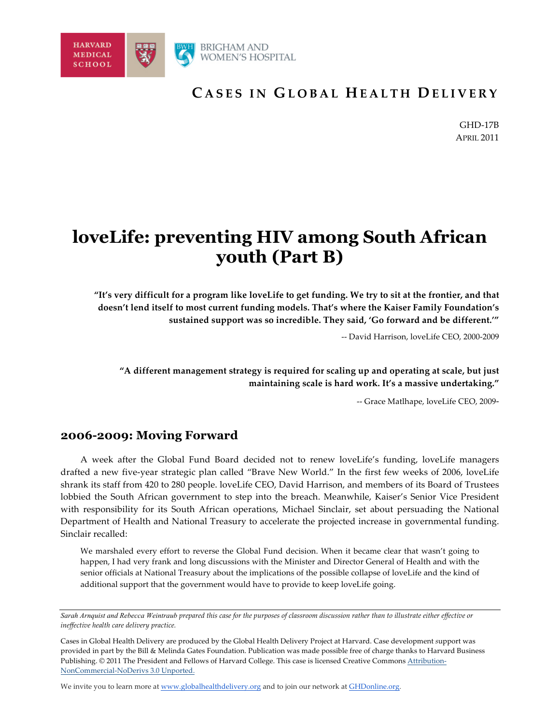

# **C ASES IN G LOBAL H EALTH D E LIVERY**

GHD-17B APRIL 2011

# **loveLife: preventing HIV among South African youth (Part B)**

**"It's very difficult for a program like loveLife to get funding. We try to sit at the frontier, and that doesn't lend itself to most current funding models. That's where the Kaiser Family Foundation's sustained support was so incredible. They said, 'Go forward and be different.'"**

-- David Harrison, loveLife CEO, 2000-2009

**"A different management strategy is required for scaling up and operating at scale, but just maintaining scale is hard work. It's a massive undertaking."**

-- Grace Matlhape, loveLife CEO, 2009-

## **2006-2009: Moving Forward**

A week after the Global Fund Board decided not to renew loveLife's funding, loveLife managers drafted a new five-year strategic plan called "Brave New World." In the first few weeks of 2006, loveLife shrank its staff from 420 to 280 people. loveLife CEO, David Harrison, and members of its Board of Trustees lobbied the South African government to step into the breach. Meanwhile, Kaiser's Senior Vice President with responsibility for its South African operations, Michael Sinclair, set about persuading the National Department of Health and National Treasury to accelerate the projected increase in governmental funding. Sinclair recalled:

We marshaled every effort to reverse the Global Fund decision. When it became clear that wasn't going to happen, I had very frank and long discussions with the Minister and Director General of Health and with the senior officials at National Treasury about the implications of the possible collapse of loveLife and the kind of additional support that the government would have to provide to keep loveLife going.

We invite you to learn more at www.globalhealthdelivery.org and to join our network at GHDonline.org.

*Sarah Arnquist and Rebecca Weintraub prepared this case for the purposes of classroom discussion rather than to illustrate either effective or ineffective health care delivery practice.* 

Cases in Global Health Delivery are produced by the Global Health Delivery Project at Harvard. Case development *s*upport was provided in part by the Bill & Melinda Gates Foundation. Publication was made possible free of charge thanks to Harvard Business Publishing. © 2011 The President and Fellows of Harvard College. This case is licensed Creative Commons Attribution-NonCommercial-NoDerivs 3.0 Unported.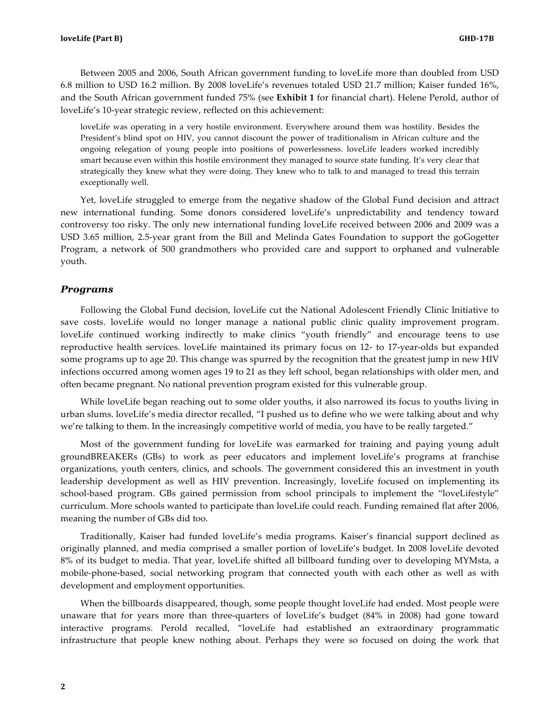Between 2005 and 2006, South African government funding to loveLife more than doubled from USD 6.8 million to USD 16.2 million. By 2008 loveLife's revenues totaled USD 21.7 million; Kaiser funded 16%, and the South African government funded 75% (see **Exhibit 1** for financial chart). Helene Perold, author of loveLife's 10-year strategic review, reflected on this achievement:

loveLife was operating in a very hostile environment. Everywhere around them was hostility. Besides the President's blind spot on HIV, you cannot discount the power of traditionalism in African culture and the ongoing relegation of young people into positions of powerlessness. loveLife leaders worked incredibly smart because even within this hostile environment they managed to source state funding. It's very clear that strategically they knew what they were doing. They knew who to talk to and managed to tread this terrain exceptionally well.

Yet, loveLife struggled to emerge from the negative shadow of the Global Fund decision and attract new international funding. Some donors considered loveLife's unpredictability and tendency toward controversy too risky. The only new international funding loveLife received between 2006 and 2009 was a USD 3.65 million, 2.5-year grant from the Bill and Melinda Gates Foundation to support the goGogetter Program, a network of 500 grandmothers who provided care and support to orphaned and vulnerable youth.

#### *Programs*

Following the Global Fund decision, loveLife cut the National Adolescent Friendly Clinic Initiative to save costs. loveLife would no longer manage a national public clinic quality improvement program. loveLife continued working indirectly to make clinics "youth friendly" and encourage teens to use reproductive health services. loveLife maintained its primary focus on 12- to 17-year-olds but expanded some programs up to age 20. This change was spurred by the recognition that the greatest jump in new HIV infections occurred among women ages 19 to 21 as they left school, began relationships with older men, and often became pregnant. No national prevention program existed for this vulnerable group.

While loveLife began reaching out to some older youths, it also narrowed its focus to youths living in urban slums. loveLife's media director recalled, "I pushed us to define who we were talking about and why we're talking to them. In the increasingly competitive world of media, you have to be really targeted."

Most of the government funding for loveLife was earmarked for training and paying young adult groundBREAKERs (GBs) to work as peer educators and implement loveLife's programs at franchise organizations, youth centers, clinics, and schools. The government considered this an investment in youth leadership development as well as HIV prevention. Increasingly, loveLife focused on implementing its school-based program. GBs gained permission from school principals to implement the "loveLifestyle" curriculum. More schools wanted to participate than loveLife could reach. Funding remained flat after 2006, meaning the number of GBs did too.

Traditionally, Kaiser had funded loveLife's media programs. Kaiser's financial support declined as originally planned, and media comprised a smaller portion of loveLife's budget. In 2008 loveLife devoted 8% of its budget to media. That year, loveLife shifted all billboard funding over to developing MYMsta, a mobile-phone-based, social networking program that connected youth with each other as well as with development and employment opportunities.

When the billboards disappeared, though, some people thought loveLife had ended. Most people were unaware that for years more than three-quarters of loveLife's budget (84% in 2008) had gone toward interactive programs. Perold recalled, "loveLife had established an extraordinary programmatic infrastructure that people knew nothing about. Perhaps they were so focused on doing the work that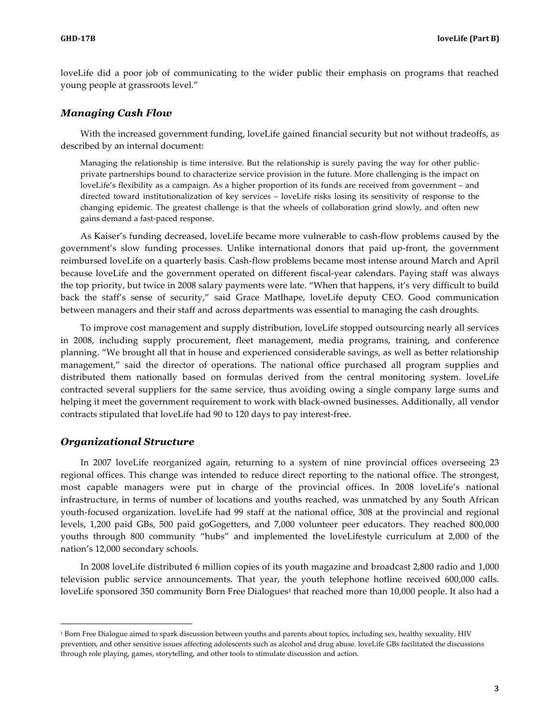loveLife did a poor job of communicating to the wider public their emphasis on programs that reached young people at grassroots level."

#### *Managing Cash Flow*

With the increased government funding, loveLife gained financial security but not without tradeoffs, as described by an internal document:

Managing the relationship is time intensive. But the relationship is surely paving the way for other publicprivate partnerships bound to characterize service provision in the future. More challenging is the impact on loveLife's flexibility as a campaign. As a higher proportion of its funds are received from government – and directed toward institutionalization of key services – loveLife risks losing its sensitivity of response to the changing epidemic. The greatest challenge is that the wheels of collaboration grind slowly, and often new gains demand a fast-paced response.

As Kaiser's funding decreased, loveLife became more vulnerable to cash-flow problems caused by the government's slow funding processes. Unlike international donors that paid up-front, the government reimbursed loveLife on a quarterly basis. Cash-flow problems became most intense around March and April because loveLife and the government operated on different fiscal-year calendars. Paying staff was always the top priority, but twice in 2008 salary payments were late. "When that happens, it's very difficult to build back the staff's sense of security," said Grace Matlhape, loveLife deputy CEO. Good communication between managers and their staff and across departments was essential to managing the cash droughts.

To improve cost management and supply distribution, loveLife stopped outsourcing nearly all services in 2008, including supply procurement, fleet management, media programs, training, and conference planning. "We brought all that in house and experienced considerable savings, as well as better relationship management," said the director of operations. The national office purchased all program supplies and distributed them nationally based on formulas derived from the central monitoring system. loveLife contracted several suppliers for the same service, thus avoiding owing a single company large sums and helping it meet the government requirement to work with black-owned businesses. Additionally, all vendor contracts stipulated that loveLife had 90 to 120 days to pay interest-free.

#### *Organizational Structure*

 $\overline{a}$ 

In 2007 loveLife reorganized again, returning to a system of nine provincial offices overseeing 23 regional offices. This change was intended to reduce direct reporting to the national office. The strongest, most capable managers were put in charge of the provincial offices. In 2008 loveLife's national infrastructure, in terms of number of locations and youths reached, was unmatched by any South African youth-focused organization. loveLife had 99 staff at the national office, 308 at the provincial and regional levels, 1,200 paid GBs, 500 paid goGogetters, and 7,000 volunteer peer educators. They reached 800,000 youths through 800 community "hubs" and implemented the loveLifestyle curriculum at 2,000 of the nation's 12,000 secondary schools.

In 2008 loveLife distributed 6 million copies of its youth magazine and broadcast 2,800 radio and 1,000 television public service announcements. That year, the youth telephone hotline received 600,000 calls. loveLife sponsored 350 community Born Free Dialogues<sup>1</sup> that reached more than 10,000 people. It also had a

<sup>1</sup> Born Free Dialogue aimed to spark discussion between youths and parents about topics, including sex, healthy sexuality, HIV prevention, and other sensitive issues affecting adolescents such as alcohol and drug abuse. loveLife GBs facilitated the discussions through role playing, games, storytelling, and other tools to stimulate discussion and action.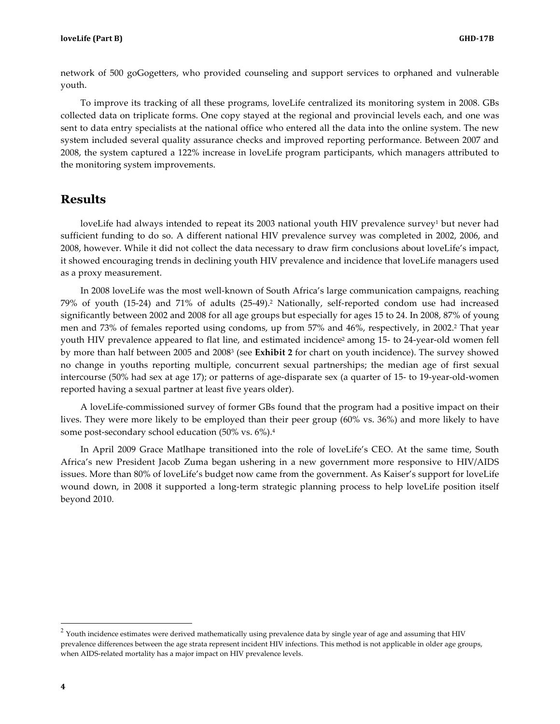network of 500 goGogetters, who provided counseling and support services to orphaned and vulnerable youth.

To improve its tracking of all these programs, loveLife centralized its monitoring system in 2008. GBs collected data on triplicate forms. One copy stayed at the regional and provincial levels each, and one was sent to data entry specialists at the national office who entered all the data into the online system. The new system included several quality assurance checks and improved reporting performance. Between 2007 and 2008, the system captured a 122% increase in loveLife program participants, which managers attributed to the monitoring system improvements.

### **Results**

loveLife had always intended to repeat its 2003 national youth HIV prevalence survey<sup>1</sup> but never had sufficient funding to do so. A different national HIV prevalence survey was completed in 2002, 2006, and 2008, however. While it did not collect the data necessary to draw firm conclusions about loveLife's impact, it showed encouraging trends in declining youth HIV prevalence and incidence that loveLife managers used as a proxy measurement.

In 2008 loveLife was the most well-known of South Africa's large communication campaigns, reaching 79% of youth (15-24) and 71% of adults (25-49).2 Nationally, self-reported condom use had increased significantly between 2002 and 2008 for all age groups but especially for ages 15 to 24. In 2008, 87% of young men and 73% of females reported using condoms, up from 57% and 46%, respectively, in 2002.<sup>2</sup> That year youth HIV prevalence appeared to flat line, and estimated incidence<sup>2</sup> among 15- to 24-year-old women fell by more than half between 2005 and 20083 (see **Exhibit 2** for chart on youth incidence). The survey showed no change in youths reporting multiple, concurrent sexual partnerships; the median age of first sexual intercourse (50% had sex at age 17); or patterns of age-disparate sex (a quarter of 15- to 19-year-old-women reported having a sexual partner at least five years older).

A loveLife-commissioned survey of former GBs found that the program had a positive impact on their lives. They were more likely to be employed than their peer group (60% vs. 36%) and more likely to have some post-secondary school education (50% vs. 6%).4

In April 2009 Grace Matlhape transitioned into the role of loveLife's CEO. At the same time, South Africa's new President Jacob Zuma began ushering in a new government more responsive to HIV/AIDS issues. More than 80% of loveLife's budget now came from the government. As Kaiser's support for loveLife wound down, in 2008 it supported a long-term strategic planning process to help loveLife position itself beyond 2010.

 $2$  Youth incidence estimates were derived mathematically using prevalence data by single year of age and assuming that HIV prevalence differences between the age strata represent incident HIV infections. This method is not applicable in older age groups, when AIDS-related mortality has a major impact on HIV prevalence levels.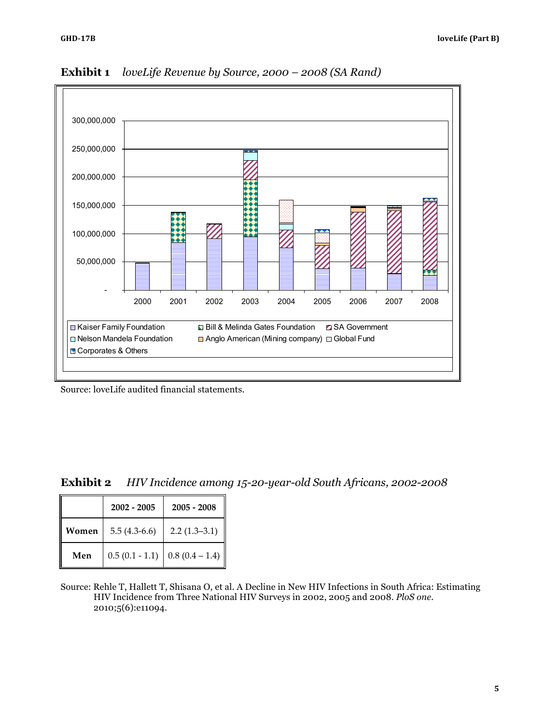

**Exhibit 1** *loveLife Revenue by Source, 2000 – 2008 (SA Rand)*

Source: loveLife audited financial statements.

|  | <b>Exhibit 2</b> HIV Incidence among 15-20-year-old South Africans, 2002-2008 |  |  |  |
|--|-------------------------------------------------------------------------------|--|--|--|
|--|-------------------------------------------------------------------------------|--|--|--|

|       | $2002 - 2005$    | $2005 - 2008$    |
|-------|------------------|------------------|
| Women | $5.5(4.3-6.6)$   | $2.2(1.3-3.1)$   |
| Men   | $0.5(0.1 - 1.1)$ | $0.8(0.4 - 1.4)$ |

Source: Rehle T, Hallett T, Shisana O, et al. A Decline in New HIV Infections in South Africa: Estimating HIV Incidence from Three National HIV Surveys in 2002, 2005 and 2008. *PloS one.*  2010;5(6):e11094.